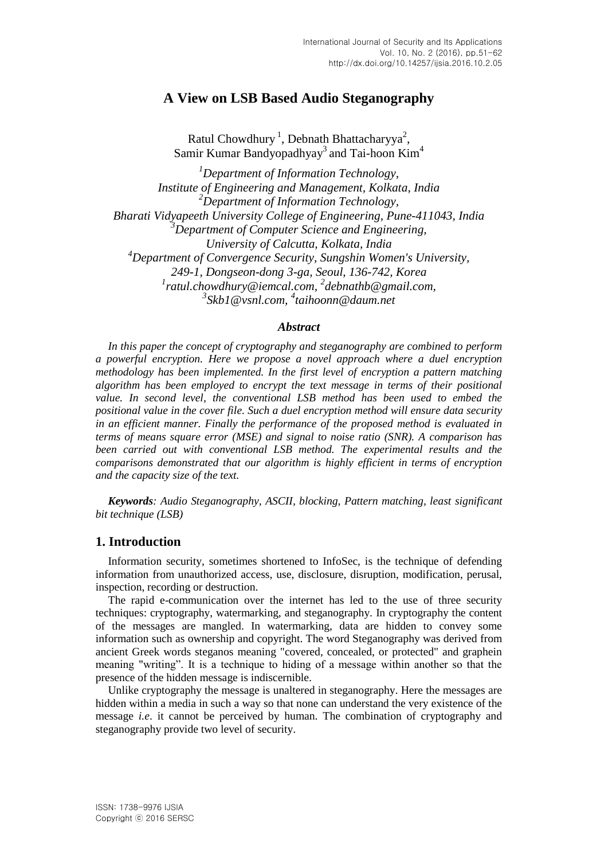# **A View on LSB Based Audio Steganography**

Ratul Chowdhury<sup>1</sup>, Debnath Bhattacharyya<sup>2</sup>, Samir Kumar Bandyopadhyay<sup>3</sup> and Tai-hoon Kim<sup>4</sup>

*<sup>1</sup>Department of Information Technology, Institute of Engineering and Management, Kolkata, India <sup>2</sup>Department of Information Technology, Bharati Vidyapeeth University College of Engineering, Pune-411043, India <sup>3</sup>Department of Computer Science and Engineering, University of Calcutta, Kolkata, India <sup>4</sup>Department of Convergence Security, Sungshin Women's University, 249-1, Dongseon-dong 3-ga, Seoul, 136-742, Korea* <sup>1</sup> [ratul.chowdhury@iemcal.com,](mailto:1ratul.chowdhury@iemcal.com)<sup>2</sup> [debnathb@gmail.com,](mailto:2debnathb@gmail.com) *3 [Skb1@vsnl.com,](mailto:3Skb1@vsnl.com) 4 [taihoonn@daum.net](mailto:taihoonn@daum.net)*

#### *Abstract*

*In this paper the concept of cryptography and steganography are combined to perform a powerful encryption. Here we propose a novel approach where a duel encryption methodology has been implemented. In the first level of encryption a pattern matching algorithm has been employed to encrypt the text message in terms of their positional value. In second level, the conventional LSB method has been used to embed the positional value in the cover file. Such a duel encryption method will ensure data security in an efficient manner. Finally the performance of the proposed method is evaluated in terms of means square error (MSE) and signal to noise ratio (SNR). A comparison has been carried out with conventional LSB method. The experimental results and the comparisons demonstrated that our algorithm is highly efficient in terms of encryption and the capacity size of the text.*

*Keywords: Audio Steganography, ASCII, blocking, Pattern matching, least significant bit technique (LSB)*

### **1. Introduction**

Information security, sometimes shortened to InfoSec, is the technique of defending information from unauthorized access, use, disclosure, disruption, modification, perusal, inspection, recording or destruction.

The rapid e-communication over the internet has led to the use of three security techniques: cryptography, watermarking, and steganography. In cryptography the content of the messages are mangled. In watermarking, data are hidden to convey some information such as ownership and copyright. The word Steganography was derived from ancient Greek words steganos meaning "covered, concealed, or protected" and graphein meaning "writing". It is a technique to hiding of a message within another so that the presence of the hidden message is indiscernible.

Unlike cryptography the message is unaltered in steganography. Here the messages are hidden within a media in such a way so that none can understand the very existence of the message *i.e*. it cannot be perceived by human. The combination of cryptography and steganography provide two level of security.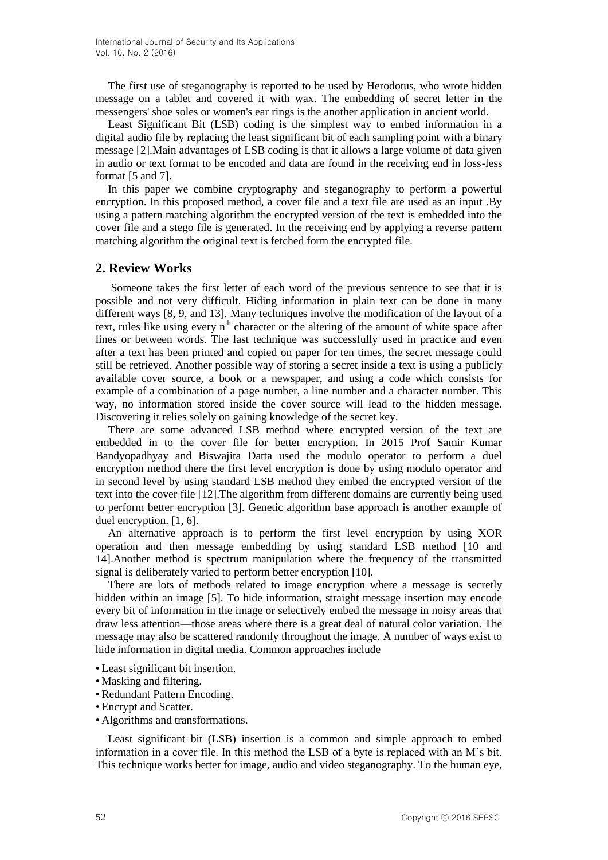The first use of steganography is reported to be used by Herodotus, who wrote hidden message on a tablet and covered it with wax. The embedding of secret letter in the messengers' shoe soles or women's ear rings is the another application in ancient world.

Least Significant Bit (LSB) coding is the simplest way to embed information in a digital audio file by replacing the least significant bit of each sampling point with a binary message [2].Main advantages of LSB coding is that it allows a large volume of data given in audio or text format to be encoded and data are found in the receiving end in loss-less format [5 and 7].

In this paper we combine cryptography and steganography to perform a powerful encryption. In this proposed method, a cover file and a text file are used as an input .By using a pattern matching algorithm the encrypted version of the text is embedded into the cover file and a stego file is generated. In the receiving end by applying a reverse pattern matching algorithm the original text is fetched form the encrypted file.

#### **2. Review Works**

Someone takes the first letter of each word of the previous sentence to see that it is possible and not very difficult. Hiding information in plain text can be done in many different ways [8, 9, and 13]. Many techniques involve the modification of the layout of a text, rules like using every  $n<sup>th</sup>$  character or the altering of the amount of white space after lines or between words. The last technique was successfully used in practice and even after a text has been printed and copied on paper for ten times, the secret message could still be retrieved. Another possible way of storing a secret inside a text is using a publicly available cover source, a book or a newspaper, and using a code which consists for example of a combination of a page number, a line number and a character number. This way, no information stored inside the cover source will lead to the hidden message. Discovering it relies solely on gaining knowledge of the secret key.

There are some advanced LSB method where encrypted version of the text are embedded in to the cover file for better encryption. In 2015 Prof Samir Kumar Bandyopadhyay and Biswajita Datta used the modulo operator to perform a duel encryption method there the first level encryption is done by using modulo operator and in second level by using standard LSB method they embed the encrypted version of the text into the cover file [12].The algorithm from different domains are currently being used to perform better encryption [3]. Genetic algorithm base approach is another example of duel encryption. [1, 6].

An alternative approach is to perform the first level encryption by using XOR operation and then message embedding by using standard LSB method [10 and 14].Another method is spectrum manipulation where the frequency of the transmitted signal is deliberately varied to perform better encryption [10].

There are lots of methods related to image encryption where a message is secretly hidden within an image [5]. To hide information, straight message insertion may encode every bit of information in the image or selectively embed the message in noisy areas that draw less attention—those areas where there is a great deal of natural color variation. The message may also be scattered randomly throughout the image. A number of ways exist to hide information in digital media. Common approaches include

- Least significant bit insertion.
- Masking and filtering.
- Redundant Pattern Encoding.
- Encrypt and Scatter.
- Algorithms and transformations.

Least significant bit (LSB) insertion is a common and simple approach to embed information in a cover file. In this method the LSB of a byte is replaced with an M"s bit. This technique works better for image, audio and video steganography. To the human eye,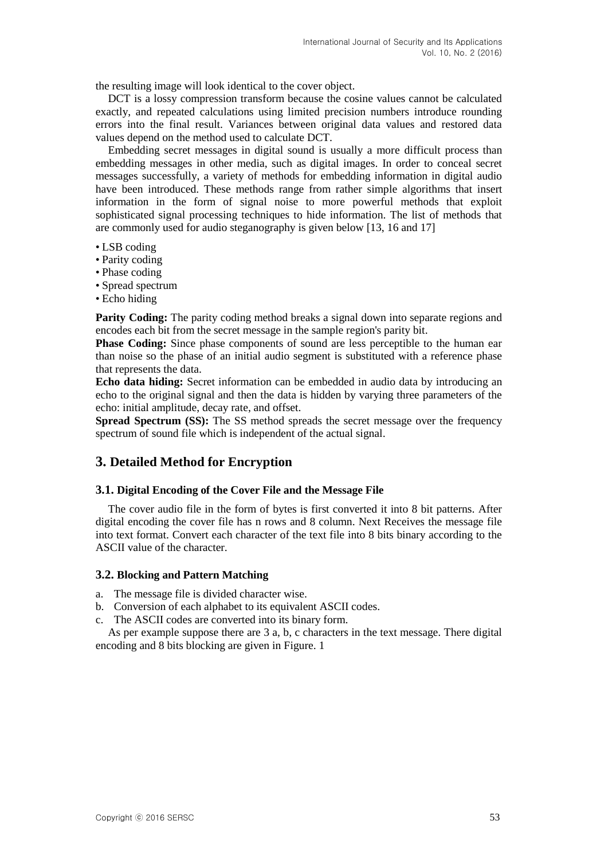the resulting image will look identical to the cover object.

DCT is a lossy compression transform because the cosine values cannot be calculated exactly, and repeated calculations using limited precision numbers introduce rounding errors into the final result. Variances between original data values and restored data values depend on the method used to calculate DCT.

Embedding secret messages in digital sound is usually a more difficult process than embedding messages in other media, such as digital images. In order to conceal secret messages successfully, a variety of methods for embedding information in digital audio have been introduced. These methods range from rather simple algorithms that insert information in the form of signal noise to more powerful methods that exploit sophisticated signal processing techniques to hide information. The list of methods that are commonly used for audio steganography is given below [13, 16 and 17]

- LSB coding
- Parity coding
- Phase coding
- Spread spectrum
- Echo hiding

**Parity Coding:** The parity coding method breaks a signal down into separate regions and encodes each bit from the secret message in the sample region's parity bit.

**Phase Coding:** Since phase components of sound are less perceptible to the human ear than noise so the phase of an initial audio segment is substituted with a reference phase that represents the data.

**Echo data hiding:** Secret information can be embedded in audio data by introducing an echo to the original signal and then the data is hidden by varying three parameters of the echo: initial amplitude, decay rate, and offset.

**Spread Spectrum (SS):** The SS method spreads the secret message over the frequency spectrum of sound file which is independent of the actual signal.

# **3. Detailed Method for Encryption**

#### **3.1. Digital Encoding of the Cover File and the Message File**

The cover audio file in the form of bytes is first converted it into 8 bit patterns. After digital encoding the cover file has n rows and 8 column. Next Receives the message file into text format. Convert each character of the text file into 8 bits binary according to the ASCII value of the character.

#### **3.2. Blocking and Pattern Matching**

a. The message file is divided character wise.

- b. Conversion of each alphabet to its equivalent ASCII codes.
- c. The ASCII codes are converted into its binary form.

As per example suppose there are 3 a, b, c characters in the text message. There digital encoding and 8 bits blocking are given in Figure. 1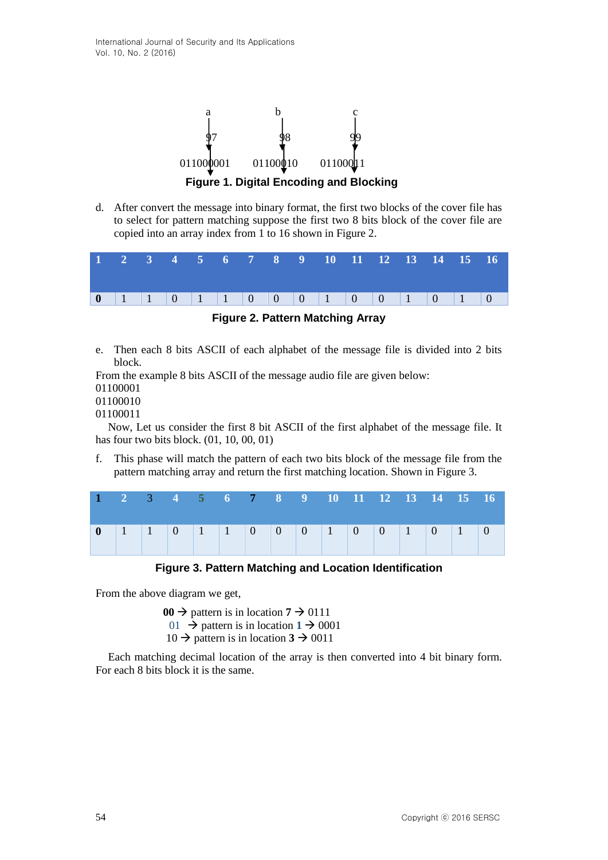

d. After convert the message into binary format, the first two blocks of the cover file has to select for pattern matching suppose the first two 8 bits block of the cover file are copied into an array index from 1 to 16 shown in Figure 2.

|  |  |  |  |  | 1 2 3 4 5 6 7 8 9 10 11 12 13 14 15 16 |  |  |  |
|--|--|--|--|--|----------------------------------------|--|--|--|
|  |  |  |  |  | 0 1 1 0 1 1 0 0 0 1 0 0 1 0 1 0 1 0    |  |  |  |

**Figure 2. Pattern Matching Array**

e. Then each 8 bits ASCII of each alphabet of the message file is divided into 2 bits block.

From the example 8 bits ASCII of the message audio file are given below:

01100001

- 01100010
- 01100011

Now, Let us consider the first 8 bit ASCII of the first alphabet of the message file. It has four two bits block. (01, 10, 00, 01)

f. This phase will match the pattern of each two bits block of the message file from the pattern matching array and return the first matching location. Shown in Figure 3.

**Figure 3. Pattern Matching and Location Identification**

From the above diagram we get,

 $00 \rightarrow$  pattern is in location  $7 \rightarrow 0111$ 01  $\rightarrow$  pattern is in location 1  $\rightarrow$  0001  $10 \rightarrow$  pattern is in location  $3 \rightarrow 0011$ 

Each matching decimal location of the array is then converted into 4 bit binary form. For each 8 bits block it is the same.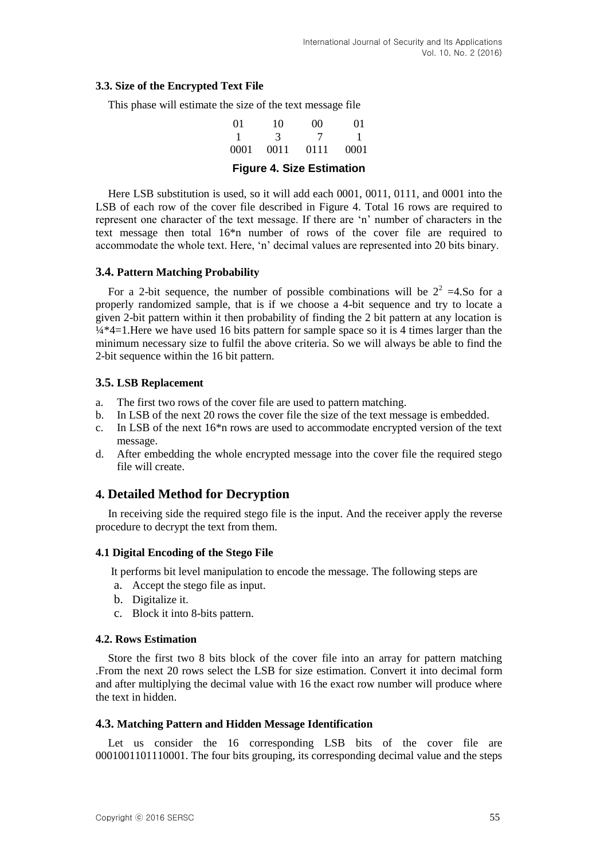#### **3.3. Size of the Encrypted Text File**

This phase will estimate the size of the text message file

| $^{01}$ | 10    | 00   | $^{01}$ |
|---------|-------|------|---------|
|         | 3     |      |         |
| 0001    | -0011 | 0111 | 0001    |

## **Figure 4. Size Estimation**

Here LSB substitution is used, so it will add each 0001, 0011, 0111, and 0001 into the LSB of each row of the cover file described in Figure 4. Total 16 rows are required to represent one character of the text message. If there are "n" number of characters in the text message then total 16\*n number of rows of the cover file are required to accommodate the whole text. Here, "n" decimal values are represented into 20 bits binary.

#### **3.4. Pattern Matching Probability**

For a 2-bit sequence, the number of possible combinations will be  $2^2 = 4.5$  for a properly randomized sample, that is if we choose a 4-bit sequence and try to locate a given 2-bit pattern within it then probability of finding the 2 bit pattern at any location is  $\frac{1}{4}$  +4=1. Here we have used 16 bits pattern for sample space so it is 4 times larger than the minimum necessary size to fulfil the above criteria. So we will always be able to find the 2-bit sequence within the 16 bit pattern.

#### **3.5. LSB Replacement**

- a. The first two rows of the cover file are used to pattern matching.
- b. In LSB of the next 20 rows the cover file the size of the text message is embedded.
- c. In LSB of the next 16\*n rows are used to accommodate encrypted version of the text message.
- d. After embedding the whole encrypted message into the cover file the required stego file will create.

### **4. Detailed Method for Decryption**

In receiving side the required stego file is the input. And the receiver apply the reverse procedure to decrypt the text from them.

#### **4.1 Digital Encoding of the Stego File**

It performs bit level manipulation to encode the message. The following steps are

- a. Accept the stego file as input.
- b. Digitalize it.
- c. Block it into 8-bits pattern.

#### **4.2. Rows Estimation**

Store the first two 8 bits block of the cover file into an array for pattern matching .From the next 20 rows select the LSB for size estimation. Convert it into decimal form and after multiplying the decimal value with 16 the exact row number will produce where the text in hidden.

#### **4.3. Matching Pattern and Hidden Message Identification**

Let us consider the 16 corresponding LSB bits of the cover file are 0001001101110001. The four bits grouping, its corresponding decimal value and the steps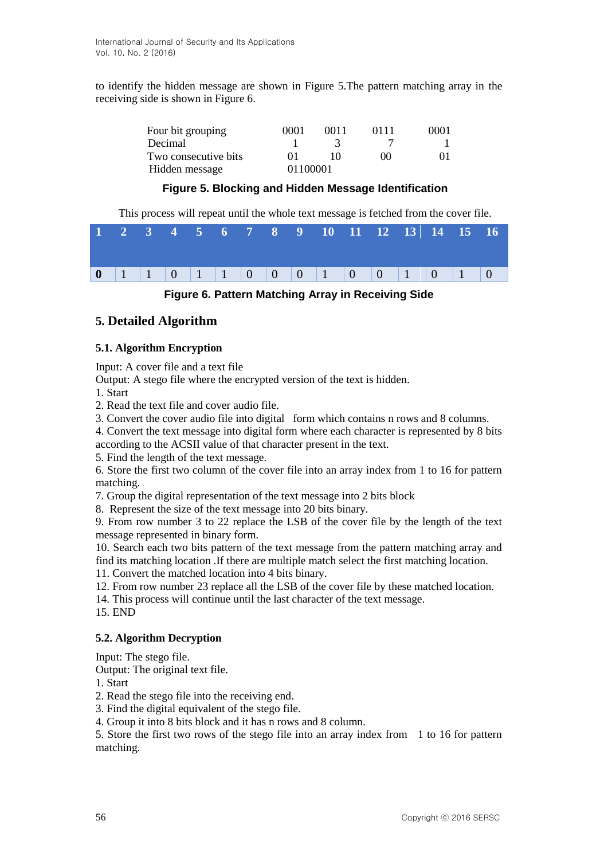to identify the hidden message are shown in Figure 5.The pattern matching array in the receiving side is shown in Figure 6.

| Four bit grouping    | 0001     | 0011 | 0111     | 0001 |
|----------------------|----------|------|----------|------|
| Decimal              |          |      |          |      |
| Two consecutive bits |          |      | $\Omega$ |      |
| Hidden message       | 01100001 |      |          |      |

## **Figure 5. Blocking and Hidden Message Identification**

This process will repeat until the whole text message is fetched from the cover file.

|  |  |  |  |  |  |  | 0 1 1 0 1 1 0 0 0 1 0 0 1 0 1 0 1 0 |
|--|--|--|--|--|--|--|-------------------------------------|



## **5. Detailed Algorithm**

#### **5.1. Algorithm Encryption**

Input: A cover file and a text file

Output: A stego file where the encrypted version of the text is hidden.

1. Start

2. Read the text file and cover audio file.

3. Convert the cover audio file into digital form which contains n rows and 8 columns.

4. Convert the text message into digital form where each character is represented by 8 bits according to the ACSII value of that character present in the text.

5. Find the length of the text message.

6. Store the first two column of the cover file into an array index from 1 to 16 for pattern matching.

7. Group the digital representation of the text message into 2 bits block

8. Represent the size of the text message into 20 bits binary.

9. From row number 3 to 22 replace the LSB of the cover file by the length of the text message represented in binary form.

10. Search each two bits pattern of the text message from the pattern matching array and find its matching location .If there are multiple match select the first matching location.

11. Convert the matched location into 4 bits binary.

- 12. From row number 23 replace all the LSB of the cover file by these matched location.
- 14. This process will continue until the last character of the text message.

15. END

#### **5.2. Algorithm Decryption**

Input: The stego file.

Output: The original text file.

- 1. Start
- 2. Read the stego file into the receiving end.
- 3. Find the digital equivalent of the stego file.
- 4. Group it into 8 bits block and it has n rows and 8 column.

5. Store the first two rows of the stego file into an array index from 1 to 16 for pattern matching.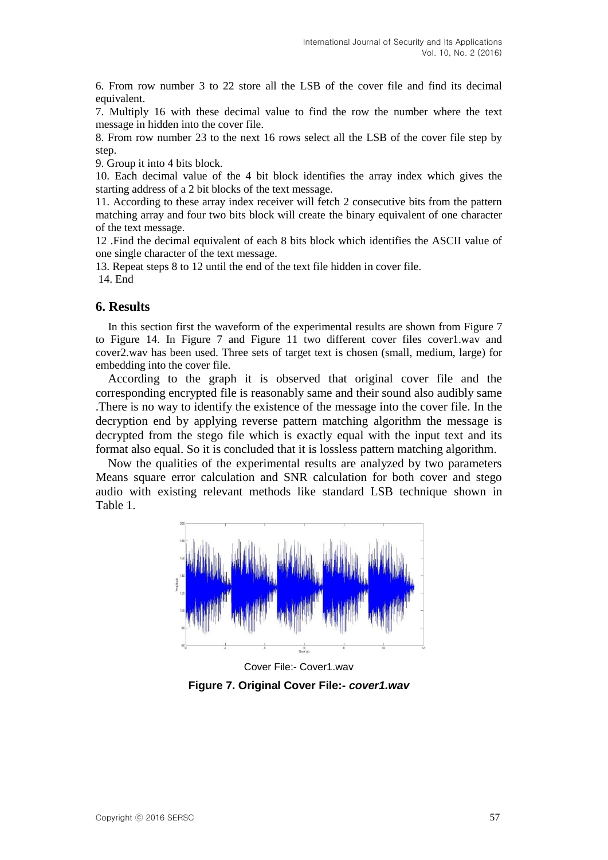6. From row number 3 to 22 store all the LSB of the cover file and find its decimal equivalent.

7. Multiply 16 with these decimal value to find the row the number where the text message in hidden into the cover file.

8. From row number 23 to the next 16 rows select all the LSB of the cover file step by step.

9. Group it into 4 bits block.

10. Each decimal value of the 4 bit block identifies the array index which gives the starting address of a 2 bit blocks of the text message.

11. According to these array index receiver will fetch 2 consecutive bits from the pattern matching array and four two bits block will create the binary equivalent of one character of the text message.

12 .Find the decimal equivalent of each 8 bits block which identifies the ASCII value of one single character of the text message.

13. Repeat steps 8 to 12 until the end of the text file hidden in cover file. 14. End

### **6. Results**

In this section first the waveform of the experimental results are shown from Figure 7 to Figure 14. In Figure 7 and Figure 11 two different cover files cover1.wav and cover2.wav has been used. Three sets of target text is chosen (small, medium, large) for embedding into the cover file.

According to the graph it is observed that original cover file and the corresponding encrypted file is reasonably same and their sound also audibly same .There is no way to identify the existence of the message into the cover file. In the decryption end by applying reverse pattern matching algorithm the message is decrypted from the stego file which is exactly equal with the input text and its format also equal. So it is concluded that it is lossless pattern matching algorithm.

Now the qualities of the experimental results are analyzed by two parameters Means square error calculation and SNR calculation for both cover and stego audio with existing relevant methods like standard LSB technique shown in Table 1.



Cover File:- Cover1.wav **Figure 7. Original Cover File:-** *cover1.wav*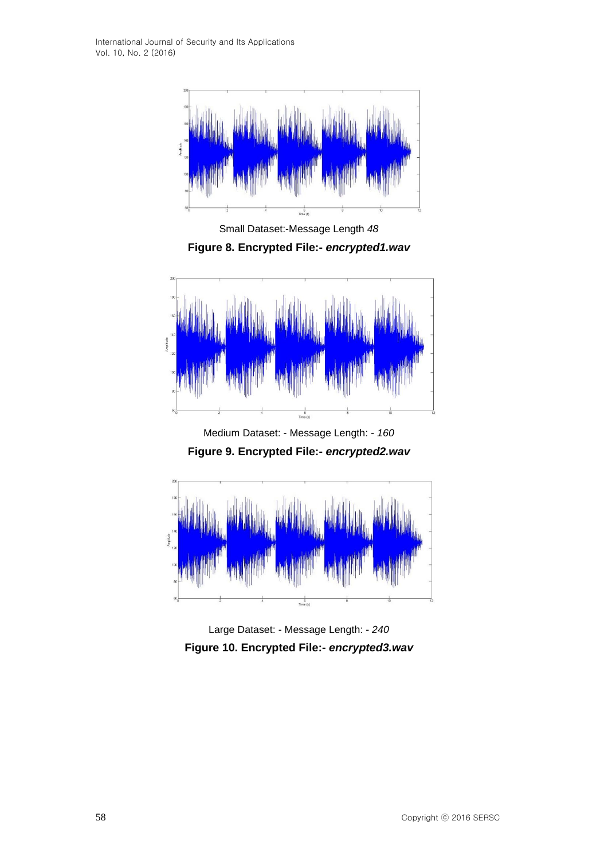International Journal of Security and Its Applications Vol. 10, No. 2 (2016)



Small Dataset:-Message Length *48* **Figure 8. Encrypted File:-** *encrypted1.wav*



Medium Dataset: - Message Length: - *160* **Figure 9. Encrypted File:-** *encrypted2.wav*



Large Dataset: - Message Length: - *240* **Figure 10. Encrypted File:-** *encrypted3.wav*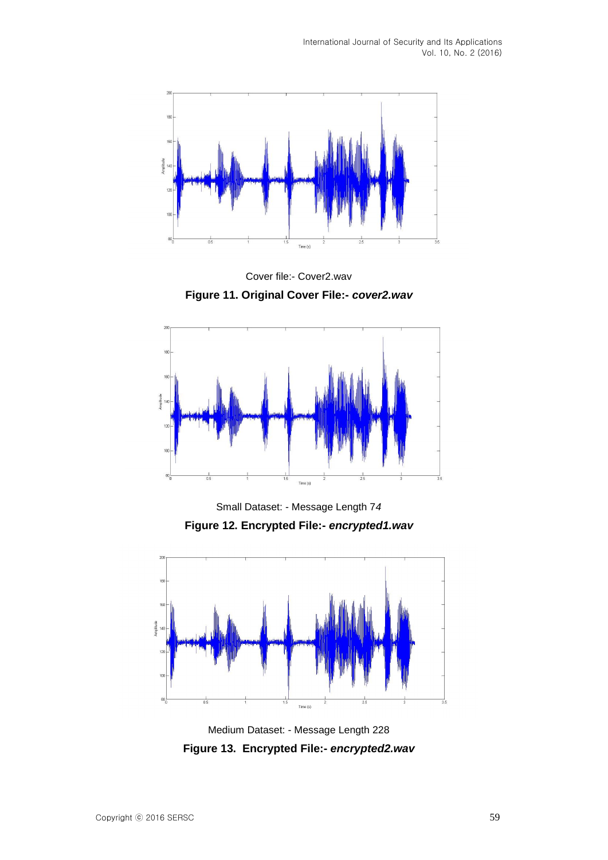

Cover file:- Cover2.wav **Figure 11. Original Cover File:-** *cover2.wav*



Small Dataset: - Message Length 7*4* **Figure 12. Encrypted File:-** *encrypted1.wav*



Medium Dataset: - Message Length 228 **Figure 13. Encrypted File:-** *encrypted2.wav*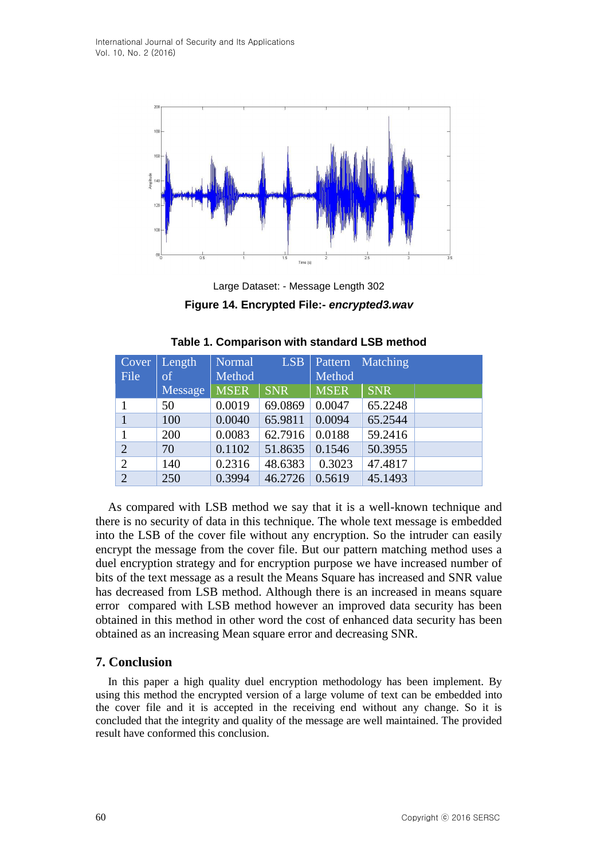

Large Dataset: - Message Length 302

**Figure 14. Encrypted File:-** *encrypted3.wav*

| Cover          | Length  | Normal      | LSB        |             | Pattern Matching |  |
|----------------|---------|-------------|------------|-------------|------------------|--|
| File           | of      | Method      |            | Method      |                  |  |
|                | Message | <b>MSER</b> | <b>SNR</b> | <b>MSER</b> | <b>SNR</b>       |  |
|                | 50      | 0.0019      | 69.0869    | 0.0047      | 65.2248          |  |
| $\mathbf{1}$   | 100     | 0.0040      | 65.9811    | 0.0094      | 65.2544          |  |
| 1              | 200     | 0.0083      | 62.7916    | 0.0188      | 59.2416          |  |
| $\overline{2}$ | 70      | 0.1102      | 51.8635    | 0.1546      | 50.3955          |  |
| $\overline{2}$ | 140     | 0.2316      | 48.6383    | 0.3023      | 47.4817          |  |
| $\overline{2}$ | 250     | 0.3994      | 46.2726    | 0.5619      | 45.1493          |  |

| Table 1. Comparison with standard LSB method |  |
|----------------------------------------------|--|
|----------------------------------------------|--|

As compared with LSB method we say that it is a well-known technique and there is no security of data in this technique. The whole text message is embedded into the LSB of the cover file without any encryption. So the intruder can easily encrypt the message from the cover file. But our pattern matching method uses a duel encryption strategy and for encryption purpose we have increased number of bits of the text message as a result the Means Square has increased and SNR value has decreased from LSB method. Although there is an increased in means square error compared with LSB method however an improved data security has been obtained in this method in other word the cost of enhanced data security has been obtained as an increasing Mean square error and decreasing SNR.

# **7. Conclusion**

In this paper a high quality duel encryption methodology has been implement. By using this method the encrypted version of a large volume of text can be embedded into the cover file and it is accepted in the receiving end without any change. So it is concluded that the integrity and quality of the message are well maintained. The provided result have conformed this conclusion.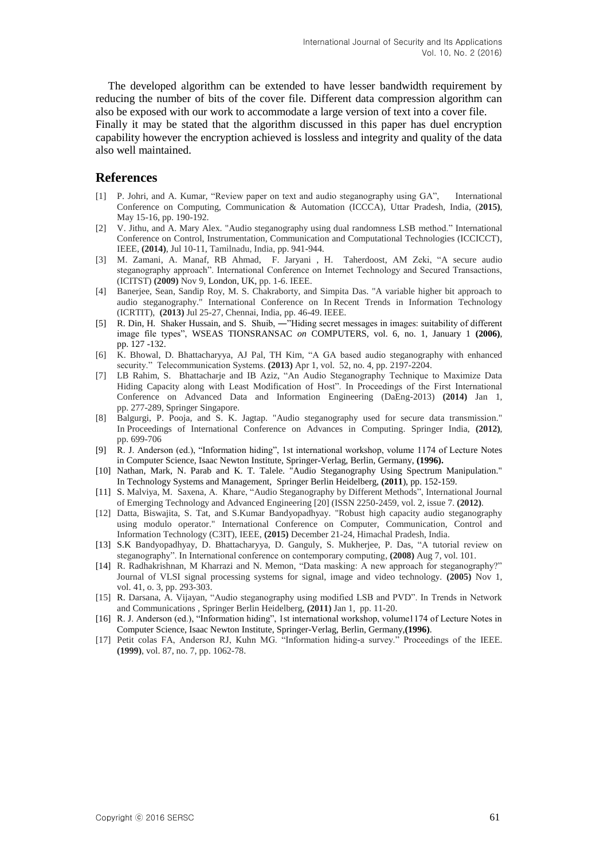The developed algorithm can be extended to have lesser bandwidth requirement by reducing the number of bits of the cover file. Different data compression algorithm can also be exposed with our work to accommodate a large version of text into a cover file.

Finally it may be stated that the algorithm discussed in this paper has duel encryption capability however the encryption achieved is lossless and integrity and quality of the data also well maintained.

#### **References**

- [1] P. Johri, and A. Kumar, "Review paper on text and audio steganography using GA", International Conference on Computing, Communication & Automation (ICCCA), Uttar Pradesh, India, (**2015)**, May 15-16, pp. 190-192.
- [2] V. Jithu, and A. Mary Alex. "Audio steganography using dual randomness LSB method." International Conference on Control, Instrumentation, Communication and Computational Technologies (ICCICCT), IEEE, **(2014)**, Jul 10-11, Tamilnadu, India, pp. 941-944.
- [3] M. Zamani, A. Manaf, RB Ahmad, F. Jaryani , H. Taherdoost, AM Zeki, "A secure audio steganography approach". International Conference on Internet Technology and Secured Transactions, (ICITST) **(2009)** Nov 9, London, UK, pp. 1-6. IEEE.
- [4] Banerjee, Sean, Sandip Roy, M. S. Chakraborty, and Simpita Das. "A variable higher bit approach to audio steganography." International Conference on In Recent Trends in Information Technology (ICRTIT), **(2013)** Jul 25-27, Chennai, India, pp. 46-49. IEEE.
- [5] R. Din, H. Shaker Hussain, and S. Shuib, —"Hiding secret messages in images: suitability of different image file types", WSEAS TIONSRANSAC *on* COMPUTERS, vol. 6, no. 1, January 1 **(2006)**, pp. 127 -132.
- [6] K. Bhowal, D. Bhattacharyya, AJ Pal, TH Kim, "A GA based audio steganography with enhanced security." Telecommunication Systems. **(2013)** Apr 1, vol. 52, no. 4, pp. 2197-2204.
- [7] LB Rahim, S. Bhattacharje and IB Aziz, "An Audio Steganography Technique to Maximize Data Hiding Capacity along with Least Modification of Host". In Proceedings of the First International Conference on Advanced Data and Information Engineering (DaEng-2013) **(2014)** Jan 1, pp. 277-289, Springer Singapore.
- [8] Balgurgi, P. Pooja, and S. K. Jagtap. "Audio steganography used for secure data transmission." In Proceedings of International Conference on Advances in Computing. Springer India, **(2012)**, pp. 699-706
- [9] R. J. Anderson (ed.), "Information hiding", 1st international workshop, volume 1174 of Lecture Notes in Computer Science, Isaac Newton Institute, Springer-Verlag, Berlin, Germany, **(1996).**
- [10] Nathan, Mark, N. Parab and K. T. Talele. "Audio Steganography Using Spectrum Manipulation." In Technology Systems and Management, Springer Berlin Heidelberg, **(2011**), pp. 152-159.
- [11] S. Malviya, M. Saxena, A. Khare, "Audio Steganography by Different Methods", International Journal of Emerging Technology and Advanced Engineering [20] (ISSN 2250-2459, vol. 2, issue 7. **(2012)**.
- [12] Datta, Biswajita, S. Tat, and S.Kumar Bandyopadhyay. "Robust high capacity audio steganography using modulo operator." International Conference on Computer, Communication, Control and Information Technology (C3IT), IEEE, **(2015)** December 21-24, Himachal Pradesh, India.
- [13] S.K Bandyopadhyay, D. Bhattacharyya, D. Ganguly, S. Mukherjee, P. Das, "A tutorial review on steganography". In International conference on contemporary computing, **(2008)** Aug 7, vol. 101.
- [14] R. Radhakrishnan, M Kharrazi and N. Memon, "Data masking: A new approach for steganography?" Journal of VLSI signal processing systems for signal, image and video technology. **(2005)** Nov 1, vol. 41, o. 3, pp. 293-303.
- [15] R. Darsana, A. Vijayan, "Audio steganography using modified LSB and PVD". In Trends in Network and Communications , Springer Berlin Heidelberg, **(2011)** Jan 1, pp. 11-20.
- [16] R. J. Anderson (ed.), "Information hiding", 1st international workshop, volume1174 of Lecture Notes in Computer Science, Isaac Newton Institute, Springer-Verlag, Berlin, Germany,**(1996)**.
- [17] Petit colas FA, Anderson RJ, Kuhn MG. "Information hiding-a survey." Proceedings of the IEEE. **(1999)**, vol. 87, no. 7, pp. 1062-78.